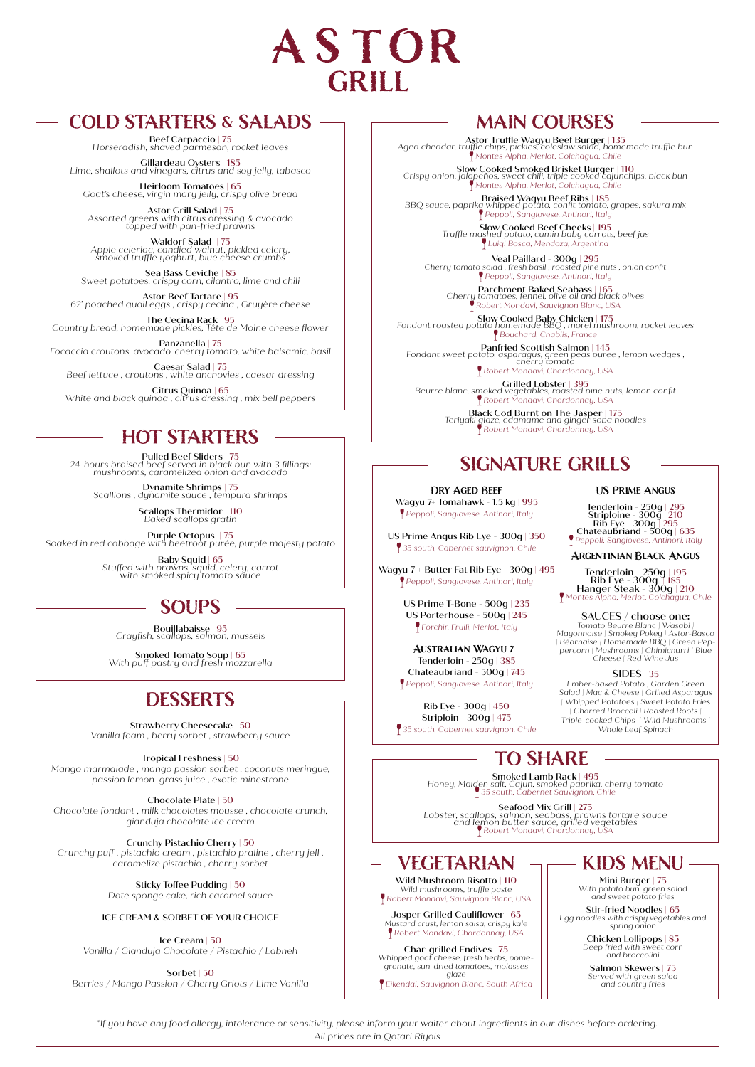

# **COLD STARTERS & SALADS**

Beef Carpaccio | 75 *Horseradish, shaved parmesan, rocket leaves* 

Gillardeau Oysters | 185 *Lime, shallots and vinegars, citrus and soy jelly, tabasco* 

Heirloom Tomatoes | 65 *Goat's cheese, virgin mary jelly, crispy olive bread*

Astor Grill Salad | 75 *Assorted greens with citrus dressing & avocado topped with pan-fried prawns* 

Waldorf Salad | 75 *Apple celeriac, candied walnut, pickled celery, smoked truffle yoghurt, blue cheese crumbs*

Sea Bass Ceviche | 85 *Sweet potatoes, crispy corn, cilantro, lime and chili* 

Astor Beef Tartare | 95 *62' poached quail eggs , crispy cecina , Gruyère cheese* 

The Cecina Rack | 95 *Country bread, homemade pickles, Tête de Moine cheese flower*

Panzanella | 75 *Focaccia croutons, avocado, cherry tomato, white balsamic, basil* 

Caesar Salad | 75 *Beef lettuce , croutons , white anchovies , caesar dressing* 

Citrus Quinoa | 65 *White and black quinoa , citrus dressing , mix bell peppers*

# *Robert Mondavi, Chardonnay, USA* **HOT STARTERS**

Pulled Beef Sliders | 75 *24-hours braised beef served in black bun with 3 fillings: mushrooms, caramelized onion and avocado* 

Dynamite Shrimps | 75 *Scallions , dynamite sauce , tempura shrimps* 

Scallops Thermidor | 110 *Baked scallops gratin* 

Purple Octopus | 75 *Soaked in red cabbage with beetroot purée, purple majesty potato*

Baby Squid | 65 *Stuffed with prawns, squid, celery, carrot with smoked spicy tomato sauce*

# **SOUPS**

Bouillabaisse | 95 *Crayfish, scallops, salmon, mussels*

Smoked Tomato Soup | 65 *With puff pastry and fresh mozzarella*

# **DESSERTS**

Strawberry Cheesecake | 50 *Vanilla foam , berry sorbet , strawberry sauce* 

Tropical Freshness | 50 *Mango marmalade , mango passion sorbet , coconuts meringue, passion lemon grass juice , exotic minestrone* 

Chocolate Plate | 50 *Chocolate fondant , milk chocolates mousse , chocolate crunch, gianduja chocolate ice cream* 

Crunchy Pistachio Cherry | 50 *Crunchy puff , pistachio cream , pistachio praline , cherry jell , caramelize pistachio , cherry sorbet* 

> Sticky Toffee Pudding | 50 *Date sponge cake, rich caramel sauce*

#### ICE CREAM & SORBET OF YOUR CHOICE

Ice Cream | 50 *Vanilla / Gianduja Chocolate / Pistachio / Labneh*

Sorbet | 50 *Berries / Mango Passion / Cherry Griots / Lime Vanilla*

# **MAIN COURSES**

Astor Truffle Wagyu Beef Burger | 135 *Aged cheddar, truffle chips, pickles, coleslaw salad, homemade truffle bun Montes Alpha, Merlot, Colchagua, Chile*

Slow Cooked Smoked Brisket Burger | 110 *Crispy onion, jalapeños, sweet chili, triple cooked cajunchips, black bun Montes Alpha, Merlot, Colchagua, Chile*

Braised Wagyu Beef Ribs | 185 *BBQ sauce, paprika whipped potato, confit tomato, grapes, sakura mix Peppoli, Sangiovese, Antinori, Italy*

Slow Cooked Beef Cheeks | 195 *Truffle mashed potato, cumin baby carrots, beef jus Luigi Bosca, Mendoza, Argentina*

Veal Paillard - 300g | 295 *Cherry tomato salad , fresh basil , roasted pine nuts , onion confit Peppoli, Sangiovese, Antinori, Italy* 

Parchment Baked Seabass | 165 *Cherry tomatoes, fennel, olive oil and black olives Robert Mondavi, Sauvignon Blanc, USA*

Slow Cooked Baby Chicken | 175 *Fondant roasted potato homemade BBQ , morel mushroom, rocket leaves Bouchard, Chablis, France*

**Panfried Scottish Salmon** | 145<br>
Fondant sweet potato, asparagus, green peas puree , lemon wedges ,<br> *Cherry tomato*<br> **P** Robert Mondavi, Chardonnay, USA

Grilled Lobster | 395 *Beurre blanc, smoked vegetables, roasted pine nuts, lemon confit Robert Mondavi, Chardonnay, USA*

Black Cod Burnt on The Jasper | 175 *Teriyaki glaze, edamame and ginger soba noodles*

# **SIGNATURE GRILLS**

**Dry Aged Beef**  Wagyu 7+ Tomahawk - 1.5 kg | 995  *Peppoli, Sangiovese, Antinori, Italy* 

US Prime Angus Rib Eye - 300g | 350  *35 south, Cabernet sauvignon, Chile*

Wagyu 7 + Butter Fat Rib Eye - 300g | 495  *Peppoli, Sangiovese, Antinori, Italy*

> US Prime T-Bone - 500g | 235 US Porterhouse - 500g | 245  *Forchir, Fruili, Merlot, Italy*

**Australian Wagyu 7+** Tenderloin - 250g | 385 Chateaubriand - 500g | 745  *Peppoli, Sangiovese, Antinori, Italy* 

Rib Eye - 300g | 450 Striploin - 300g | 475  *35 south, Cabernet sauvignon, Chile*

# **TO SHARE**

Smoked Lamb Rack | 495 *Honey, Malden salt, Cajun, smoked paprika, cherry tomato 35 south, Cabernet Sauvignon, Chile*

Seafood Mix Grill | 275 *Lobster, scallops, salmon, seabass, prawns tartare sauce and lemon butter sauce, grilled vegetables Robert Mondavi, Chardonnay, USA*

# **VEGETARIAN**

Wild Mushroom Risotto | 110 *Wild mushrooms, truffle paste Robert Mondavi, Sauvignon Blanc, USA*

Josper Grilled Cauliflower | 65 *Mustard crust, lemon salsa, crispy kale Robert Mondavi, Chardonnay, USA*

Char-grilled Endives | 75 *Whipped goat cheese, fresh herbs, pome-granate, sun-dried tomatoes, molasses glaze*

*Eikendal, Sauvignon Blanc, South Africa*

# Tenderloin - 250g | 295 Striploine - 300g | 210 Rib Eye - 300g | 295 Chateaubriand - 500g | 635  *Peppoli, Sangiovese, Antinori, Italy*

**US Prime Angus**

**Argentinian Black Angus**

Tenderloin - 250g | 195 Rib Eye - 300g | 185 Hanger Steak - 300g | 210  *Montes Alpha, Merlot, Colchagua, Chile*

SAUCES / **choose one:**<br>Tomato Beurre Blanc | Wasabi |<br>Mayonnaise | Smokey Pokey | Astor-Basco<br>| Béarnaise | Homemade BBQ | Green Pep-<br>percorn | Mushrooms | Chimichurri | Blue<br>Cheese | Red Wine Jus

SIDES | 35 *Ember-baked Potato | Garden Green Salad | Mac & Cheese | Grilled Asparagus | Whipped Potatoes | Sweet Potato Fries | Charred Broccoli | Roasted Roots | Triple-cooked Chips | Wild Mushrooms | Whole Leaf Spinach* 

# **KIDS MENU**

Mini Burger | 75 *With potato bun, green salad and sweet potato fries*

Stir-fried Noodles | 65 *Egg noodles with crispy vegetables and spring onion*

Chicken Lollipops | 85 *Deep fried with sweet corn and broccolini*

Salmon Skewers | 75 *Served with green salad and country fries* 

*\*If you have any food allergy, intolerance or sensitivity, please inform your waiter about ingredients in our dishes before ordering. All prices are in Qatari Riyals*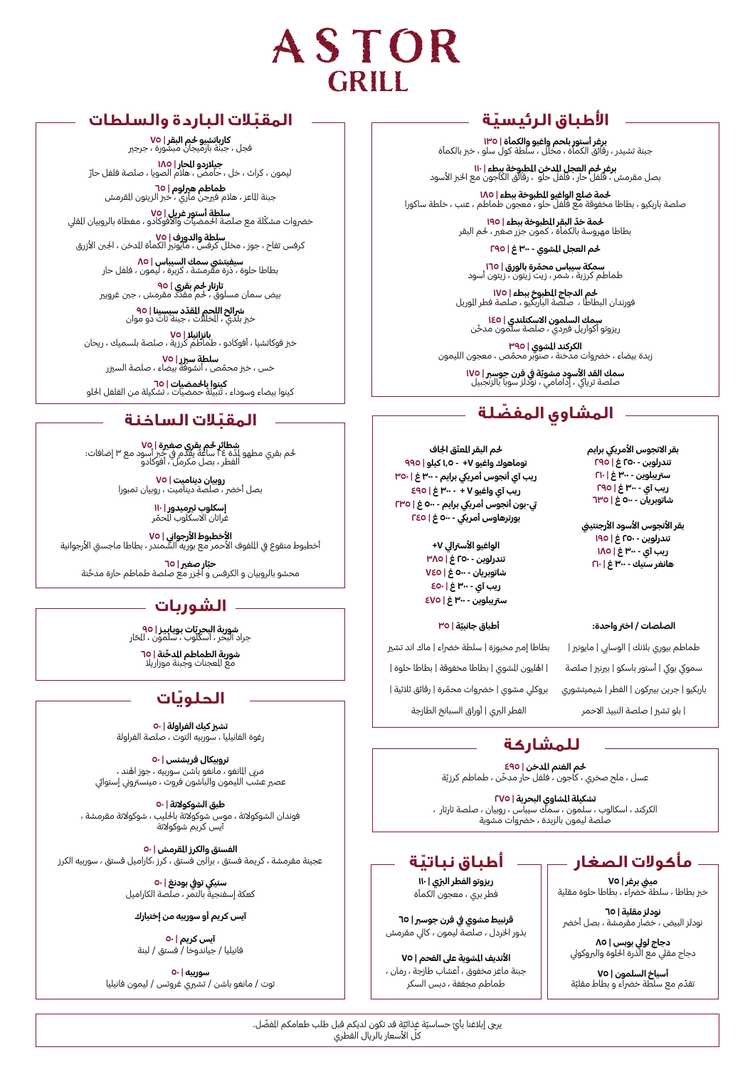

# **ّ المقبالت الباردة والسلطات**

فجل ، جبنة بارميجان مبشورة ، جرجري **كارباتشيو حلم البقر | <sup>75</sup>**

**جيلاردو الحار | ١٨٥**<br>ليمون ، كراث ، خل ، حامض ، هلام الصويا ، صلصة فلفل حارّ

**طماطم هيرلوم | 10**<br>جبنة الماعز ، هلام فيرجن ماري ، خبز الزيتون القرمش

**سلطة آستور غريل | Vo**<br>خضروات مشكّلة مع صلصة الحمضيات والأفوكادو ، مغطاة بالروبيان القلي

كرفس تفاح ، جوز ، مخلل كرفس ، مايونزي الكمأة املدخن ، اجلنب األزرق **سلطة والدورف | <sup>75</sup>**

**سيفيتشي سمك السيباس | ٨٥**<br>بطاطا حلوة ، ذرة مقرمشة ، كزبرة ، ليمون ، فلفل حار

֧֖֖֖֖֖֧֖֧֖֧֧֧֧ׅ֖֧֧֧֧֧֧֧֧֧֧֧֧֧֧֧֧֧֧֧֧֧֧֧֧֧֧֧֧֚֚֚֚֚֚֚֚֚֚֚֚֚֚֚֚֚֚֝֝֝֬֝֟֩֬֓֝֬֝֬֜֝֬֩֩֓<br>֧֧֧֜֜ **تارتار حم بقري | ٩٥**<br>بيض سمان مسلوق ، حم مقدد مقرمش ، جبن غرويير

**ّشرائح اللحم القدّد سيسينا | 90**<br>خبز بلدي ، الخللات ، جبنة تات دو موان

**بانزانيلا | Vo**<br>خبز فوكاتشيا ، أفوكادو ، طماطم كرزية ، صلصة بلسميك ، ريحان

֦֦֧֦֦֧֧֡֡֡֓֓֓֓֡֓֓֓֡֓֓֓֓֓֓֓֓֓֓֓֓֡֓֓֓֓֡֡֓֓֓֡֓֓֓֡֡֓֓֡֡֬֓֓֡֡֬֓֓ **سلطة سيزر | Vo**<br>خس ، خبز محمّص ، أنشوفة بيضاء ، صلصة السيزر

**كينوا بالحمضيات | ٦٥**<br>كينوا بيضاء وسوداء ، تتبيلة حمضيات ، تشكيلة من الفلفل الحلو

# **ّ المقبالت الساخنة**

֖֖֖֖֖֧֚֚֚֚֚֚֚֚֚֚֚֚֚֚֚֡֡֬֓֓<u>֓</u> **شطائر لحم بقري صغيرة | VO**<br>لحم بقري مطهو لدّة ٤٤ ساعة يقدم في خبز أسود مع ٣ إضافات:<br>الفطر ، بصل مكرمل ، أفوكادو

**روبيان ديناميت | Vo**<br>بصل أخضر ، صلصة ديناميت ، روبيان تمبورا

**إسكلوب ثيرميدور | II۰**<br>غراتان الاسكلوب الحمّر ّ

**الاخطبوط الارجواني | Vo**<br>أخطبوط منقوع في اللفوف الأحمر مع بوريه الشمندر ، بطاطا ماجستي الأرجوانية

**حبّار صغير | 10**<br>محشو بالروبيان و الكرفس و الجزر مع صلصة طماطم حارة مدخّنة

# **الشوربات**

**شوربة البحريّات بويابيز | <mark>90</mark><br>ج**راد البحر ، اسكلوب ، سلمون ، الحّار ֦֧<u>֚֓</u>

شوربة الطماطم الدخّنة | <mark>٦</mark>٥ مع املعجنات وجبنة موزاريال **شوربة الطماطم املدخ**

# **ّ الحلويات**

**تشزي كيك الفراولة | 50** رغوة الفانيليا ، سوربيه التوت ، صلصة الفراولة

**تروبيكال فريشنس | 50** مربي المانغو ، مانغو باشن سوربيه ، جوز اهند ، عصير عشب الليمون والباشون فروت ، مينستروني إستوائي

**طبق الشوكوالتة | 50** فوندان الشوكوالتة ، موس شوكوالتة باحلليب ، شوكوالتة مقرمشة ، آيس كريم شوكوالتة

الفستق والكرز المقرمش | ٥٠ عجينة مقرمشة ، كريمة فستق ، برالني فستق ، كرز ،كاراميل فستق ، سوربيه الكرز

> ستيكي توفي بودنغ | **٥**٠ كعكة إسفنجية بالتمر ، صلصة الكاراميل

#### **آيس كريم أو سوربيه من إختيارك**

**آيس كريم | 50** فانيليا / جياندوخا / فستق / لبنة

**سوربيه | 50** توت / مانغو باشن / تشريي غروتس / ليمون فانيليا

# **ّ األطباق الرئيسية**

**برغر أستور بلحم واغيو والكمأة | IPO**<br>جبنة تشيدر ، رقائق الكمأة ، مخلل ، سلطة كول سلو ، خبز بالكمأة

**برغر حم العجل الدخن الطبوخة ببطء | ١١٠**<br>بصل مقرمش ، فلفل حار ، فلفل حلو ، رقائق الكاجون مع الخبز الأسود

**حلمة ضلع الواغيو املطبوخة ببطء | 185** صلصة باربكيو ، بطاطا مخفوقة مع فلفل حلو ، معجون طماطم ، عنب ، خلطة ساكورا

**لحمة خدّ البقر <mark>الطبوخة ببطء | 1</mark>90**<br>بطاطا مهروسة بالكمأة ، كمون جزر صغير ، لحم البقر

**حلم العجل املشوي - 300 غ | 295**

**سمكة سيباس محمّرة <mark>بالورق | 1</mark>0**<br>طماطم كرزية ، شمر ، زيت زيتون ، زيتون أسود

**حلم الدجاج املطبوخ ببطء | 175** فورندان البطاطا ، صلصة الباربكيو ، صلصة فطر املوريل

**سمك السلمون الاسكتلندي | I٤٥**<br>ريزوتو أكواريل فيردي ، صلصة سلمون مدخّن

**الكركند املشوي | 395** زبدة بيضاء ، خرضوات مدخنة ، صنوبر محمص ، معجون الليمون ֦֧֦֧֦֧֦֧֦֧֡֝֜*֛* 

**سمك القد الأسود مشويّة في فرن جوسبر | <mark>١٧٥</mark>**<br>صلصة ترياكي ، إدامامي ، نودلز سوبا بالزنجبيل

# **ّ المشاوي المفضلة**

لحم البقر المعتّق ا<del>ج</del>اف **توماهوك واغيو +7 - 1.5 كيلو | 995 ريب آي أنجوس أمرييك برايم - 300 غ | 350 ريب آي واغيو 7 + - 300 غ | 495 يت-بون أنجوس أمرييك برايم - 500 غ | 235 بورترهاوس أمرييك - 500 غ | 245**

#### الواغيو الأسترالي V+

**تندرلوين - 250 غ | 385 شاتوبريان - 500 غ | 745 ريب آي - 300 غ | 450 سرتيبلوين - 300 غ | 475**

#### **ّة | 35 أطباق جانبي**

بطاطا إمبر مخبوزة | سلطة خضراء | ماك اند تشيز | اهلليون املشوي | بطاطا مخفوقة | بطاطا حلوة | ׇ֧֦֧֦֧֦֧֦֧ׅ֧֡֡֡֓֜֓֓<u>֚</u> بروكلي مشوي | خضروات محمّرة | رقائق ثلاثية | الفطر الربي | أوراق السبانخ الطازجة

بقر الانجوس الأمريكي برايم **تندرلوين - 250 غ | 295 سرتيبلوين - 300 غ | 210 ريب آي - 300 غ | 295 شاتوبريان - 500 غ | 635**

**بقر األنجوس األسود األرجنتيين تندرلوين - 250 غ | 195 ريب آي - 300 غ | 185 هانغر ستيك - 300 غ | 210**

#### **الصلصات / اخرت واحدة:**

طماطم بيوري بالنك | الوسايب | مايونزي | سموكي بوكي | أستور باسكو | بيرنيز | صلصة باربكيو | جرين بيربكون | الفطر | شيميتشوري | بلو تشزي | صلصة النبيذ االحمر

# **للمشاركة**

**حلم الغنم املدخن | 495** عسل ، ملح صخري ، كاجون ، فلفل حار مدخّن ، طماطم كرزيّة

**تشكيلة املشاوي البحرية | 275** الكركند ، اسكالوب ، سلمون ، سمك سيباس ، روبيان ، صلصة تارتار ، ـوب ، سسون ، سست سيبس ، روبين ، ،<br>صلصة ليمون بالزبدة ، خضروات مشوية

**ّ ريزوتو الفطر الربي | 110** فطر بري ، معجون الكمأة

**قرنبيط مشوي يف فرن جوسرب | 65** بذور الخردل ، صلصة ليمون ، كالي مقرمش

**األنديف املشوية عىل الفحم | 75** جبنة ماعز مخفوق ، أعشاب طازجة ، رمان ، طماطم مجففة ، دبس السكر

و**لات الصغار صوت أطباق نباتيّة**<br>مي<sub>غ برغرا ٧٥</sub> **مأكوالت الصغار**

خبز بطاطا ، سلطة خضراء ، بطاطا حلوة مقلية

**نودلز مقلية | 65** نودلز البيض ، خضار مقرمشة ، بصل أخضر

**دجاج لويل بوبس | 85** دجاج مقيل مع الذرة احللوة والربوكويل

**أسياخ السلمون | 75** نقدّم مع سلطة خضراًء و بطاط مقليّة ֧֧֦֧֖֖֧֚֚֚֚֚֚֚֚֚֝֝<u>֓</u>

֦֧<u>֚֓</u>֢֚֓ يرجي إبلاغنا بأيّ حساسيّة غذائيّة قد تكون لديكم قبل طلب طعامكم الفضّل. حد، بيا حد سون سيسم حبر<br>كلّ الأسعار بالريال القطري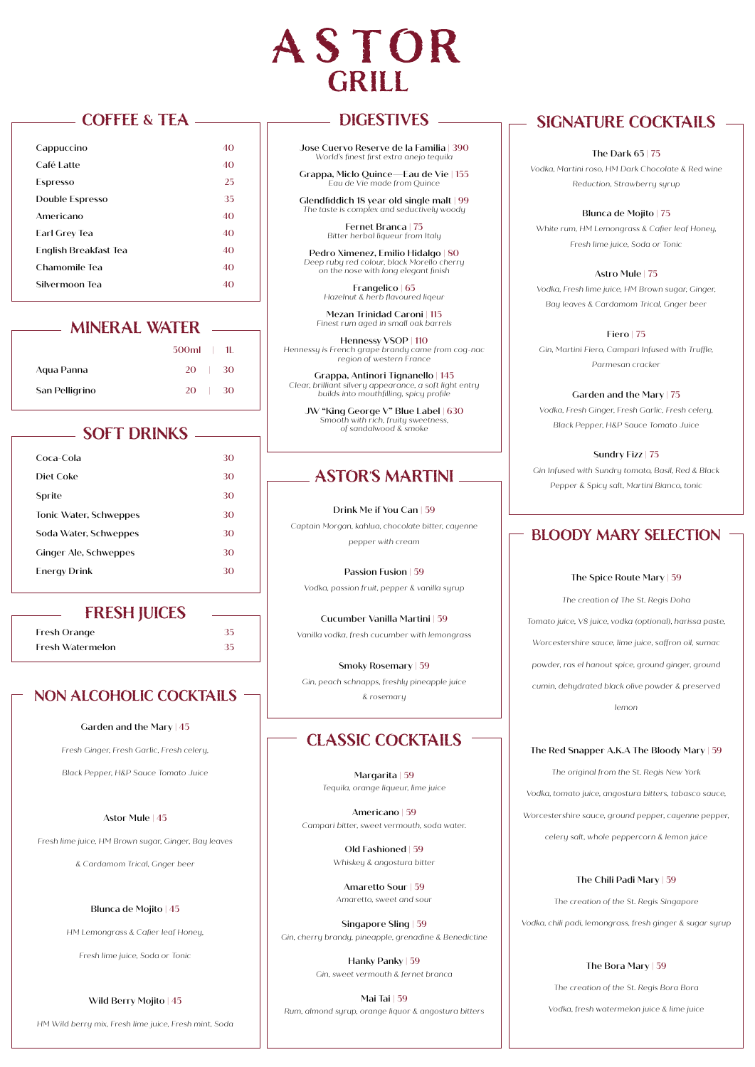

## **COFFEE & TEA**

| Cappuccino            | 40 |
|-----------------------|----|
| Café Latte            | 40 |
| <b>Espresso</b>       | 25 |
| Double Espresso       | 35 |
| Americano             | 40 |
| Earl Grey Tea         | 40 |
| English Breakfast Tea | 40 |
| Chamomile Tea         | 40 |
| Silvermoon Tea        | 40 |
|                       |    |

# **MINERAL WATER**

|                | $500ml$ | - 1L |
|----------------|---------|------|
| Agua Panna     | 20      | 30   |
| San Pelligrino | 20      | 30   |

# **SOFT DRINKS**

| Coca-Cola              | 30 |
|------------------------|----|
| Diet Coke              | 30 |
| Sprite                 | 30 |
| Tonic Water, Schweppes | 30 |
| Soda Water, Schweppes  | 30 |
| Ginger Ale, Schweppes  | 30 |
| Energy Drink           | 30 |
|                        |    |

#### **FRESH JUICES**

Fresh Orange 35 Fresh Watermelon 35

### **NON ALCOHOLIC COCKTAILS -**

#### Garden and the Mary | 45

*Fresh Ginger, Fresh Garlic, Fresh celery,* 

*Black Pepper, H&P Sauce Tomato Juice*

#### Astor Mule | 45

*Fresh lime juice, HM Brown sugar, Ginger, Bay leaves* 

*& Cardamom Trical, Gnger beer*

#### Blunca de Mojito | 45

*HM Lemongrass & Cafier leaf Honey,* 

*Fresh lime juice, Soda or Tonic* 

#### Wild Berry Mojito | 45

*HM Wild berry mix, Fresh lime juice, Fresh mint, Soda*

# **DIGESTIVES**

Jose Cuervo Reserve de la Familia | 390 *World's finest first extra anejo tequila*

Grappa, Miclo Quince—Eau de Vie | 155 *Eau de Vie made from Quince*

Glendfiddich 18 year old single malt | 99 *The taste is complex and seductively woody*

> Fernet Branca | 75 *Bitter herbal liqueur from Italy*

Pedro Ximenez, Emilio Hidalgo | 80 *Deep ruby red colour, black Morello cherry on the nose with long elegant finish*

> **Frangelico** |  $65$ <br>Hazelnut & berb flavoure *Hazelnut & herb flavoured liqeur*

Mezan Trinidad Caroni | 115 *Finest rum aged in small oak barrels*

Hennessy VSOP | 110 *Hennessy is French grape brandy came from cog-nac region of western France*

Grappa, Antinori Tignanello | 145 *Clear, brilliant silvery appearance, a soft light entry builds into mouthfilling, spicy profile*

JW "King George V" Blue Label | 630 *Smooth with rich, fruity sweetness, of sandalwood & smoke*

# **ASTOR'S MARTINI**

#### Drink Me if You Can | 59

*Captain Morgan, kahlua, chocolate bitter, cayenne pepper with cream*

Passion Fusion | 59 *Vodka, passion fruit, pepper & vanilla syrup*

Cucumber Vanilla Martini | 59 *Vanilla vodka, fresh cucumber with lemongrass*

Smoky Rosemary | 59 *Gin, peach schnapps, freshly pineapple juice & rosemary*

# **CLASSIC COCKTAILS**

Margarita | 59 *Tequila, orange liqueur, lime juice*

Americano | 59 *Campari bitter, sweet vermouth, soda water.*

> Old Fashioned | 59 *Whiskey & angostura bitter*

Amaretto Sour | 59 *Amaretto, sweet and sour*

Singapore Sling | 59 *Gin, cherry brandy, pineapple, grenadine & Benedictine*

> Hanky Panky | 59 *Gin, sweet vermouth & fernet branca*

Mai Tai | 59 *Rum, almond syrup, orange liquor & angostura bitters*

# **SIGNATURE COCKTAILS**

#### The Dark 65 | 75

*Vodka, Martini roso, HM Dark Chocolate & Red wine Reduction, Strawberry syrup* 

Blunca de Mojito | 75

*White rum, HM Lemongrass & Cafier leaf Honey, Fresh lime juice, Soda or Tonic*

Astro Mule | 75 *Vodka, Fresh lime juice, HM Brown sugar, Ginger, Bay leaves & Cardamom Trical, Gnger beer*

Fiero | 75

*Gin, Martini Fiero, Campari Infused with Truffle, Parmesan cracker*

Garden and the Mary | 75 *Vodka, Fresh Ginger, Fresh Garlic, Fresh celery, Black Pepper, H&P Sauce Tomato Juice* 

Sundry Fizz | 75 *Gin Infused with Sundry tomato, Basil, Red & Black Pepper & Spicy salt, Martini Bianco, tonic*

### **BLOODY MARY SELECTION**

#### The Spice Route Mary | 59

*The creation of The St. Regis Doha Tomato juice, V8 juice, vodka (optional), harissa paste, Worcestershire sauce, lime juice, saffron oil, sumac powder, ras el hanout spice, ground ginger, ground cumin, dehydrated black olive powder & preserved lemon*

#### The Red Snapper A.K.A The Bloody Mary | 59

*The original from the St. Regis New York Vodka, tomato juice, angostura bitters, tabasco sauce, Worcestershire sauce, ground pepper, cayenne pepper, celery salt, whole peppercorn & lemon juice*

#### The Chili Padi Mary | 59

*The creation of the St. Regis Singapore Vodka, chili padi, lemongrass, fresh ginger & sugar syrup*

#### The Bora Mary | 59

*The creation of the St. Regis Bora Bora*

*Vodka, fresh watermelon juice & lime juice*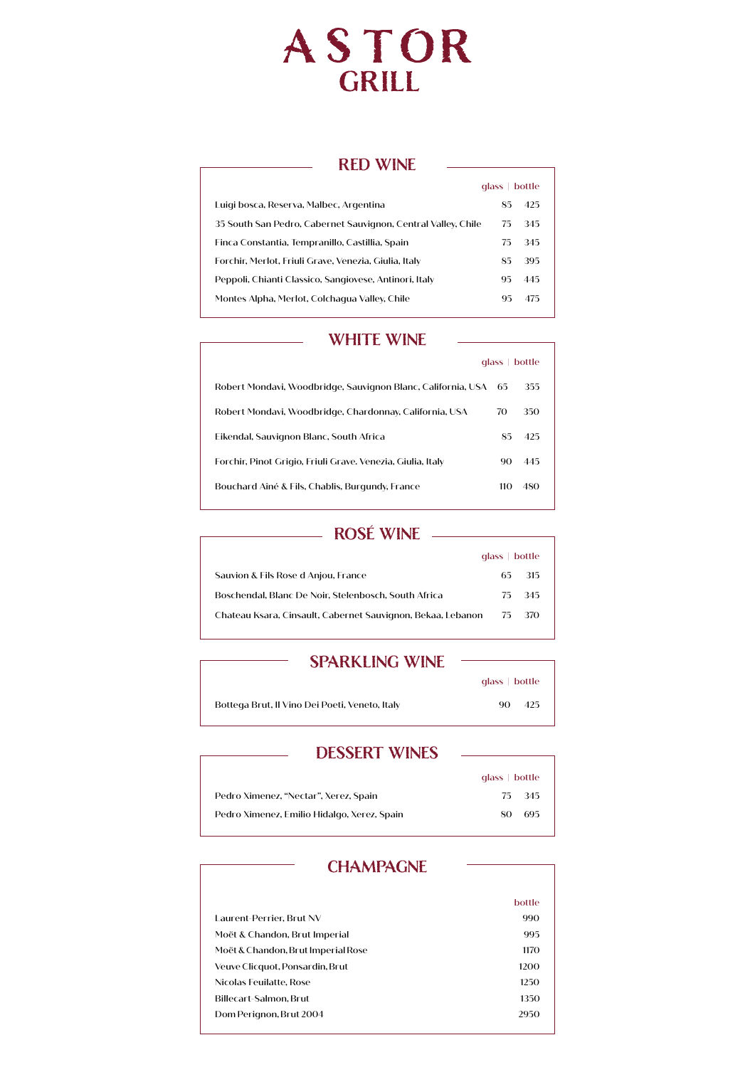# ASTOR<br>GRILL

## **RED WINE**

|                                                               | glass | bottle |
|---------------------------------------------------------------|-------|--------|
| Luigi bosca, Reserva, Malbec, Argentina                       | 85    | 425    |
| 35 South San Pedro, Cabernet Sauvignon, Central Valley, Chile | 75.   | 345    |
| Finca Constantia, Tempranillo, Castillia, Spain               | 75    | 345    |
| Forchir, Merlot, Friuli Grave, Venezia, Giulia, Italy         | 85    | 395    |
| Peppoli, Chianti Classico, Sangiovese, Antinori, Italy        | 95    | 445    |
| Montes Alpha, Merlot, Colchagua Valley, Chile                 | 95    | 475    |

#### **WHITE WINE**

|                                                                 | $alass \perp$ | bottle |
|-----------------------------------------------------------------|---------------|--------|
| Robert Mondavi, Woodbridge, Sauvignon Blanc, California, USA 65 |               | 355    |
| Robert Mondavi, Woodbridge, Chardonnay, California, USA         | 70            | 350    |
| Eikendal, Sauvignon Blanc, South Africa                         | 85            | 425    |
| Forchir, Pinot Grigio, Friuli Grave. Venezia, Giulia, Italy     | 90            | 445    |
| Bouchard Aîné & Fils, Chablis, Burgundy, France                 | 110           | 480    |

# **ROSÉ WINE**

|                                                             | alass   bottle |        |
|-------------------------------------------------------------|----------------|--------|
| Sauvion & Fils Rose d Anjou, France                         | 65.            | -315   |
| Boschendal, Blanc De Noir, Stelenbosch, South Africa        |                | 75 345 |
| Chateau Ksara, Cinsault, Cabernet Sauvignon, Bekaa, Lebanon |                | 75 370 |

#### **SPARKLING WINE**

|                                                | $q$ ass $\mid$ bottle |
|------------------------------------------------|-----------------------|
| Bottega Brut, Il Vino Dei Poeti, Veneto, Italy | 425<br>90.            |

## **DESSERT WINES**

|                                             | $q$ ass $\mid$ bottle |
|---------------------------------------------|-----------------------|
| Pedro Ximenez, "Nectar", Xerez, Spain       | 75 345                |
| Pedro Ximenez, Emilio Hidalgo, Xerez, Spain | 695<br>80             |

# **CHAMPAGNE**

|                                    | bottle |
|------------------------------------|--------|
| Laurent-Perrier, Brut NV           | 990    |
| Moët & Chandon, Brut Imperial      | 995    |
| Moët & Chandon, Brut Imperial Rose | 1170   |
| Veuve Clicquot, Ponsardin, Brut    | 1200   |
| Nicolas Feuilatte. Rose            | 1250   |
| Billecart-Salmon, Brut             | 1350   |
| Dom Perignon, Brut 2004            | 2950   |
|                                    |        |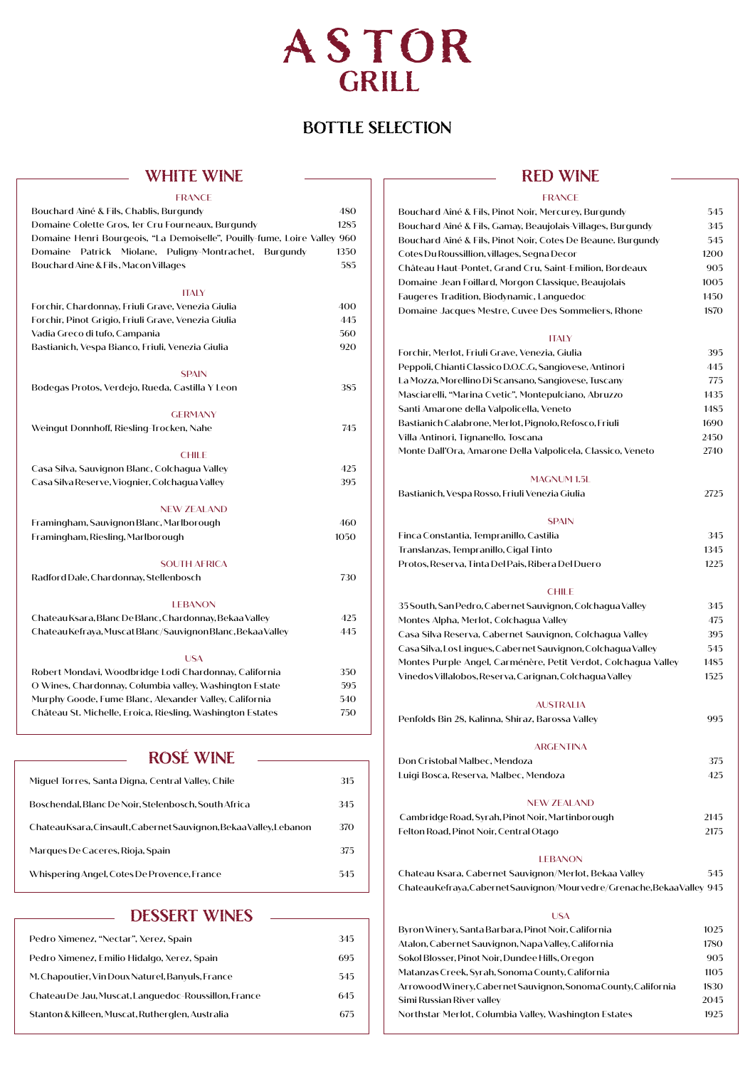# ASTOR GRILL

# **BOTTLE SELECTION**

#### **WHITE WINE**

| <b>FRANCE</b>                                                            |      |
|--------------------------------------------------------------------------|------|
| Bouchard Aîné & Fils, Chablis, Burgundy                                  | 480  |
| Domaine Colette Gros, 1er Cru Fourneaux, Burgundy                        | 1285 |
| Domaine Henri Bourgeois, "La Demoiselle", Pouilly-fume, Loire Valley 960 |      |
| Patrick<br>Miolane,<br>Puligny-Montrachet,<br>Domaine<br>Burgundy        | 1350 |
| Bouchard Aine & Fils, Macon Villages                                     | 585  |
|                                                                          |      |
| <b>ITALY</b>                                                             |      |
| Forchir, Chardonnay, Friuli Grave, Venezia Giulia                        | 400  |
| Forchir, Pinot Grigio, Friuli Grave, Venezia Giulia                      | 445  |
| Vadia Greco di tufo, Campania                                            | 560  |
| Bastianich, Vespa Bianco, Friuli, Venezia Giulia                         | 920  |
| <b>SPAIN</b>                                                             |      |
| Bodegas Protos, Verdejo, Rueda, Castilla Y Leon                          | 385  |
|                                                                          |      |
| <b>GERMANY</b>                                                           |      |
| Weingut Donnhoff, Riesling-Trocken, Nahe                                 | 745  |
| <b>CHILE</b>                                                             |      |
| Casa Silva, Sauvignon Blanc, Colchagua Valley                            | 425  |
| Casa Silva Reserve, Viognier, Colchagua Valley                           | 395  |
|                                                                          |      |
| <b>NEW ZEALAND</b>                                                       |      |
| Framingham, Sauvignon Blanc, Marlborough                                 | 460  |
| Framingham, Riesling, Marlborough                                        | 1050 |
|                                                                          |      |
| <b>SOUTH AFRICA</b>                                                      |      |
| Radford Dale, Chardonnay, Stellenbosch                                   | 730  |
| <b>LEBANON</b>                                                           |      |
| Chateau Ksara, Blanc De Blanc, Chardonnay, Bekaa Valley                  | 425  |
| Chateau Kefraya, Muscat Blanc/Sauvignon Blanc, Bekaa Valley              | 445  |
|                                                                          |      |
| <b>USA</b>                                                               |      |
| Robert Mondavi, Woodbridge Lodi Chardonnay, California                   | 350  |
| O Wines, Chardonnay, Columbia valley, Washington Estate                  | 595  |
| Murphy Goode, Fume Blanc, Alexander Valley, California                   | 540  |
| Château St. Michelle, Eroica, Riesling, Washington Estates               | 750  |
|                                                                          |      |
| <b>ROSÉ WINE</b>                                                         |      |
| Miguel Torres, Santa Digna, Central Valley, Chile                        | 315  |
|                                                                          |      |

| Miquer forres, Santa Digna, Central Valley, Chile                  | 51D |
|--------------------------------------------------------------------|-----|
| Boschendal, Blanc De Noir, Stelenbosch, South Africa               | 345 |
| Chateau Ksara, Cinsault, Cabernet Sauvignon, Bekaa Valley, Lebanon | 370 |
| Marques De Caceres, Rioja, Spain                                   | 375 |
| Whispering Angel, Cotes De Provence, France                        | 545 |

#### **DESSERT WINES**

| Pedro Ximenez, "Nectar", Xerez, Spain                | 345 |
|------------------------------------------------------|-----|
| Pedro Ximenez, Emilio Hidalgo, Xerez, Spain          | 695 |
| M. Chapoutier, Vin Doux Naturel, Banyuls, France     | 545 |
| Chateau De Jau, Muscat, Languedoc-Roussillon, France | 645 |
| Stanton & Killeen, Muscat, Rutherglen, Australia     | 675 |

### **RED WINE**

#### FRANCE

| Bouchard Aîné & Fils, Pinot Noir, Mercurey, Burgundy                     | 545  |
|--------------------------------------------------------------------------|------|
| Bouchard Aîné & Fils, Gamay, Beaujolais-Villages, Burgundy               | 345  |
| Bouchard Aîné & Fils, Pinot Noir, Cotes De Beaune. Burgundy              | 545  |
| Cotes Du Roussillion, villages, Segna Decor                              | 1200 |
| Château Haut-Pontet, Grand Cru, Saint-Emilion, Bordeaux                  | 905  |
| Domaine Jean Foillard, Morgon Classique, Beaujolais                      | 1005 |
| Faugeres Tradition, Biodynamic, Languedoc                                | 1450 |
| Domaine Jacques Mestre, Cuvee Des Sommeliers, Rhone                      | 1870 |
| <b>ITALY</b>                                                             |      |
| Forchir, Merlot, Friuli Grave, Venezia, Giulia                           | 395  |
| Peppoli, Chianti Classico D.O.C.G, Sangiovese, Antinori                  | 445  |
| La Mozza, Morellino Di Scansano, Sangiovese, Tuscany                     | 775  |
| Masciarelli, "Marina Cvetic", Montepulciano, Abruzzo                     | 1435 |
| Santi Amarone della Valpolicella, Veneto                                 | 1485 |
| Bastianich Calabrone, Merlot, Pignolo, Refosco, Friuli                   | 1690 |
| Villa Antinori, Tignanello, Toscana                                      | 2450 |
| Monte Dall'Ora, Amarone Della Valpolicela, Classico, Veneto              | 2740 |
| MAGNUM 1.5L                                                              |      |
| Bastianich, Vespa Rosso, Friuli Venezia Giulia                           | 2725 |
|                                                                          |      |
| <b>SPAIN</b>                                                             |      |
| Finca Constantia, Tempranillo, Castilia                                  | 345  |
| Translanzas, Tempranillo, Cigal Tinto                                    | 1345 |
| Protos, Reserva, Tinta Del Pais, Ribera Del Duero                        | 1225 |
| <b>CHILE</b>                                                             |      |
| 35 South, San Pedro, Cabernet Sauvignon, Colchagua Valley                | 345  |
| Montes Alpha, Merlot, Colchagua Valley                                   | 475  |
| Casa Silva Reserva, Cabernet Sauvignon, Colchagua Valley                 | 395  |
| Casa Silva, Los Lingues, Cabernet Sauvignon, Colchagua Valley            | 545  |
| Montes Purple Angel, Carménère, Petit Verdot, Colchagua Valley           | 1485 |
| Vinedos Villalobos, Reserva, Carignan, Colchagua Valley                  | 1525 |
|                                                                          |      |
| <b>AUSTRALIA</b>                                                         |      |
| Penfolds Bin 28, Kalinna, Shiraz, Barossa Valley                         | 995  |
| <b>ARGENTINA</b>                                                         |      |
| Don Cristobal Malbec, Mendoza                                            | 375  |
| Luigi Bosca, Reserva, Malbec, Mendoza                                    | 425  |
| <b>NEW ZEALAND</b>                                                       |      |
| Cambridge Road, Syrah, Pinot Noir, Martinborough                         | 2145 |
| Felton Road, Pinot Noir, Central Otago                                   | 2175 |
|                                                                          |      |
| <b>LEBANON</b>                                                           |      |
| Chateau Ksara, Cabernet Sauvignon/Merlot, Bekaa Valley                   | 545  |
| Chateau Kefraya, Cabernet Sauvignon/Mourvedre/Grenache, Bekaa Valley 945 |      |
| <b>USA</b>                                                               |      |
| Byron Winery, Santa Barbara, Pinot Noir, California                      | 1025 |
| Atalon, Cabernet Sauvignon, Napa Valley, California                      | 1780 |
| Sokol Blosser, Pinot Noir, Dundee Hills, Oregon                          | 905  |
| Matanzas Creek, Syrah, Sonoma County, California                         | 1105 |
| Arrowood Winery, Cabernet Sauvignon, Sonoma County, California           | 1830 |

Simi Russian River valley 2045 Northstar Merlot, Columbia Valley, Washington Estates 1925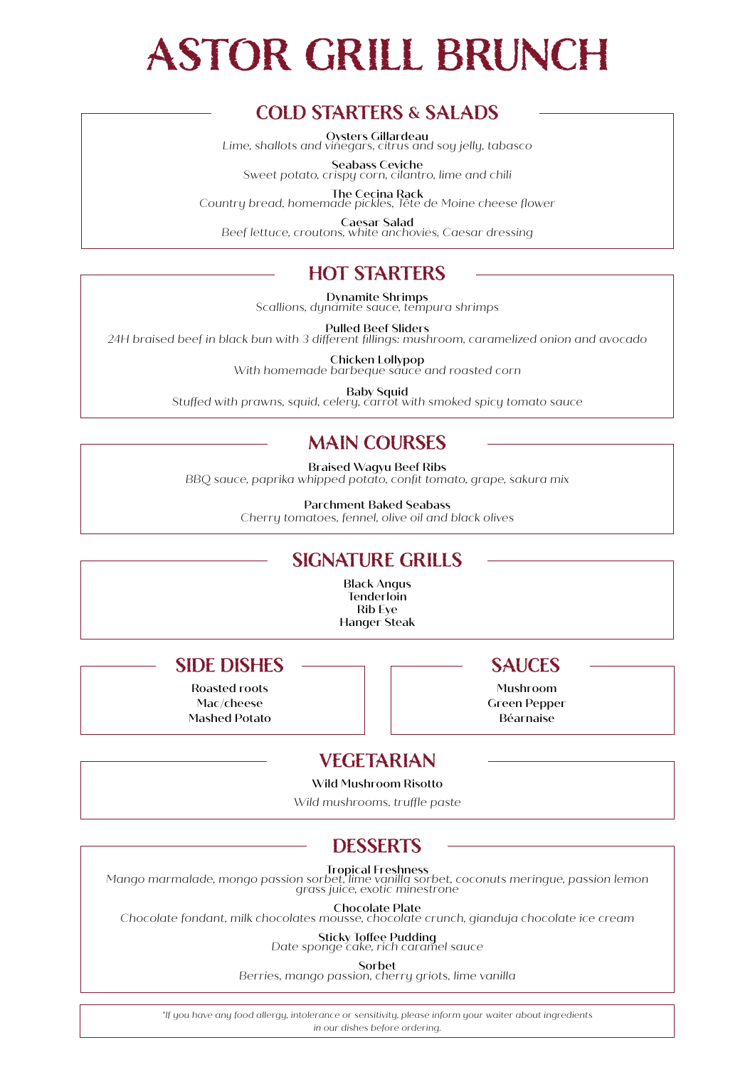# **ASTOR GRILL BRUNCH**

# **COLD STARTERS & SALADS**

Oysters Gillardeau *Lime, shallots and vinegars, citrus and soy jelly, tabasco*

Seabass Ceviche *Sweet potato, crispy corn, cilantro, lime and chili*

The Cecina Rack *Country bread, homemade pickles, Tête de Moine cheese flower*

Caesar Salad *Beef lettuce, croutons, white anchovies, Caesar dressing*

# **HOT STARTERS**

Dynamite Shrimps *Scallions, dynamite sauce, tempura shrimps* 

Pulled Beef Sliders *24H braised beef in black bun with 3 different fillings: mushroom, caramelized onion and avocado*

Chicken Lollypop *With homemade barbeque sauce and roasted corn*

Baby Squid *Stuffed with prawns, squid, celery, carrot with smoked spicy tomato sauce*

# **MAIN COURSES**

Braised Wagyu Beef Ribs *BBQ sauce, paprika whipped potato, confit tomato, grape, sakura mix*

> Parchment Baked Seabass *Cherry tomatoes, fennel, olive oil and black olives*

# **SIGNATURE GRILLS**

Black Angus **Tenderloin** Rib Eye Hanger Steak

# **SIDE DISHES** — SAUCES

Roasted roots Mac/cheese Mashed Potato

Mushroom Green Pepper Béarnaise

# **VEGETARIAN**

Wild Mushroom Risotto

*Wild mushrooms, truffle paste* 

# **DESSERTS**

**Tropical Freshness**<br>Mango marmalade, mongo passion sorbet, lime vanilla sorbet, coconuts meringue, passion lemon<br>grass juice, exotic minestrone

Chocolate Plate *Chocolate fondant, milk chocolates mousse, chocolate crunch, gianduja chocolate ice cream*

Sticky Toffee Pudding *Date sponge cake, rich caramel sauce*

Sorbet

*Berries, mango passion, cherry griots, lime vanilla*

*\*If you have any food allergy, intolerance or sensitivity, please inform your waiter about ingredients in our dishes before ordering.*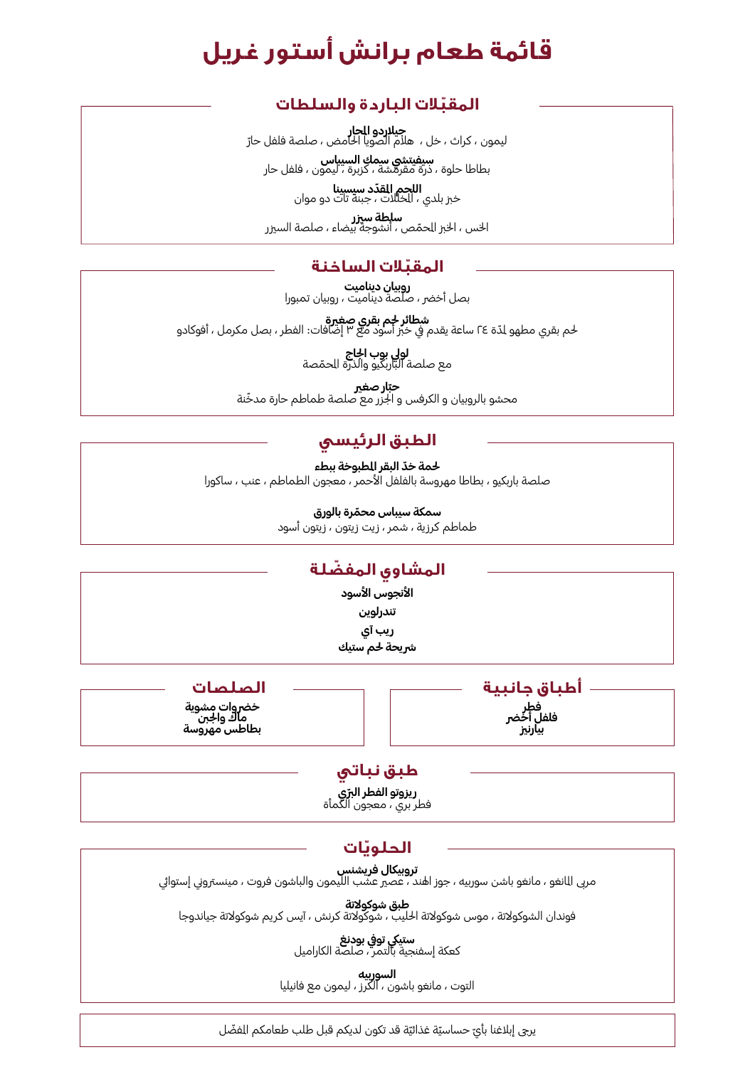# **قائمة طعام برانش أستور غريل**

# **ّ المقبالت الباردة والسلطات**

**جيلاردو الحار**<br>ليمون ، كراث ، خل ، هلام الصويا الحامض ، صلصة فلفل حارّ

**سيفيتشي سمك السيباس**<br>بطاطا حلوة ، ذرة مقرمشة ، كزبرة ، ليمون ، فلفل حار

**ّاللحم القدّد سيسينا**<br>خبز بلدي ، الخللات ، جبنة تات دو موان

֧֡֡֓֓֓֓֓֓֓֓֓֓֓֓֓֓֓֡֓֓ **سلطة سيزر**<br>الخس ، الخبز الحمّص ، أنشوجة بيضاء ، صلصة السيزر

# **المقبّلات الساخنة**<br>روبيان ديناميت

بصل أخضر ، صلصة ديناميت ، روبيان تمبورا

<u>ّ</u> **شطائر خصة يستم عن المنتقل معني من المنتقل على عن الله عن الله عن الله عن من**<br>لحم بقري مطهو لدّة ٢٤ ساعة يقدم في خبر أسود مع ٣ إضافات: الفطر ، بصل مكرمل ، أفوكادو

> ć **لولي بوب الجاج**<br>مع صلصة الباربكيو والذرة الحمّصة

**حتار صغير**<br>محشو بالروبيان و الكرفس و الجزر مع صلصة طماطم حارة مدخّنة

# **الطبق الرئيسي**

لحمة <mark>خدّ البقر المطبوخة ببطء</mark> صلصة باربكيو ، بطاطا مهروسة بالفلفل الأحمر ، معجون الطماطم ، عنب ، ساكورا

**ّ سمكة سيباس محمرة بالورق** 

طماطم كرزية ، شمر ، زيت زيتون ، زيتون أسود

# **ّ المشاوي المفضلة**

**األنجوس األسود تندرلوين ريب آي** 

**رشيحة حلم ستيك**

خضروات مشوية<br>ماك وا<del>ج</del>بن<br>بطاطس مهروسة

**أطباق جانبية الصلصات بيارنزي فلفل أخرض فطر**

# **طبق نباتي**

**ّ ريزوتو الفطر الربي**  فطر بري ، معجون الكمأة

# **ّ الحلويات**

**تروبيكال فريشنس** مربى المانغو ، مانغو باشن سوربيه ، جوز اهند ، عصير عشب الليمون والباشون فروت ، مينستروني إستوائي

**طبق شوكوالتة** فوندان الشوكوالتة ، موس شوكوالتة احلليب ، شوكوالتة كرنش ، آيس كريم شوكوالتة جياندوجا

> ستيكي توفى بودنغ كعكة إسفنجية بالتمر ، صلصة الكاراميل

**السوربيه** التوت ، مانغو باشون ، الكرز ، ليمون مع فانيليا

֧֖֖֖֖֖֧֚֚֚֚֚֚֚֚֚֚֚֚֝<u>֓</u> يرجي إبلاغنا بأيّ حساسيّة غذائيّة قد تكون لديكم قبل طلب طعامكم الفضّل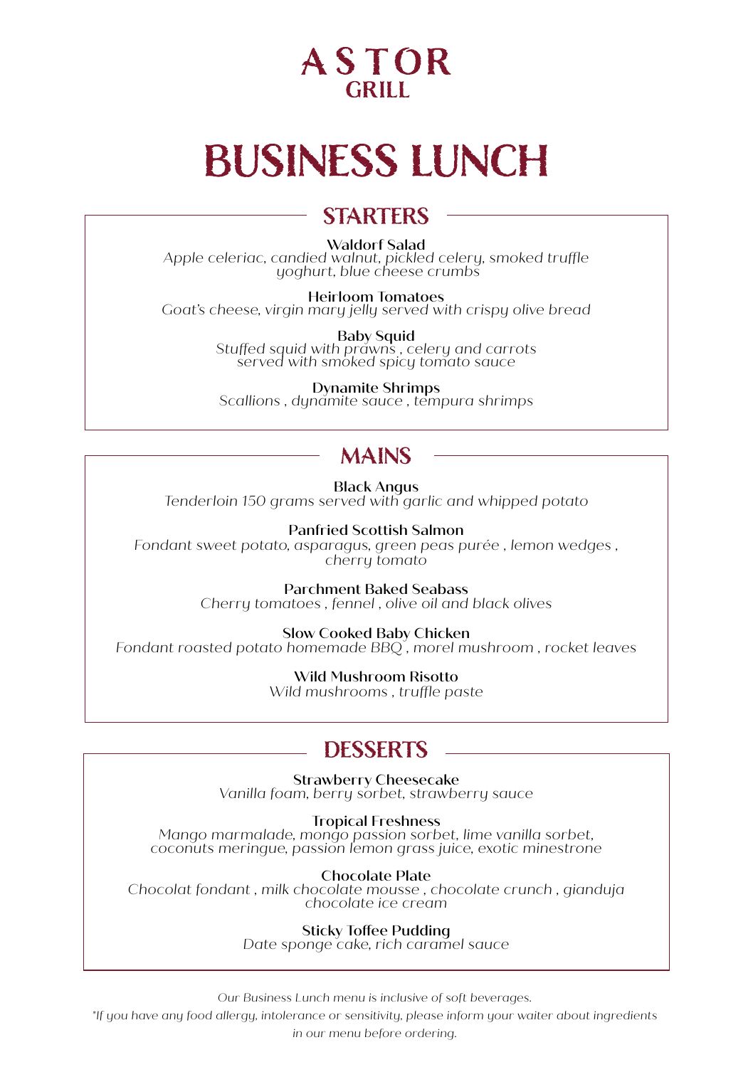

# **BUSINESS LUNCH**

### **STARTERS**

#### Waldorf Salad

*Apple celeriac, candied walnut, pickled celery, smoked truffle yoghurt, blue cheese crumbs*

Heirloom Tomatoes *Goat's cheese, virgin mary jelly served with crispy olive bread*

Baby Squid *Stuffed squid with prawns , celery and carrots served with smoked spicy tomato sauce*

Dynamite Shrimps *Scallions , dynamite sauce , tempura shrimps*

### **MAINS**

Black Angus *Tenderloin 150 grams served with garlic and whipped potato*

Panfried Scottish Salmon *Fondant sweet potato, asparagus, green peas purée , lemon wedges , cherry tomato* 

> Parchment Baked Seabass *Cherry tomatoes , fennel , olive oil and black olives*

Slow Cooked Baby Chicken *Fondant roasted potato homemade BBQ , morel mushroom , rocket leaves*

> Wild Mushroom Risotto *Wild mushrooms , truffle paste*

### **DESSERTS**

Strawberry Cheesecake *Vanilla foam, berry sorbet, strawberry sauce*

Tropical Freshness *Mango marmalade, mongo passion sorbet, lime vanilla sorbet,* 

*coconuts meringue, passion lemon grass juice, exotic minestrone*

Chocolate Plate *Chocolat fondant , milk chocolate mousse , chocolate crunch , gianduja chocolate ice cream*

Sticky Toffee Pudding *Date sponge cake, rich caramel sauce*

*Our Business Lunch menu is inclusive of soft beverages.*

*\*If you have any food allergy, intolerance or sensitivity, please inform your waiter about ingredients* 

*in our menu before ordering.*